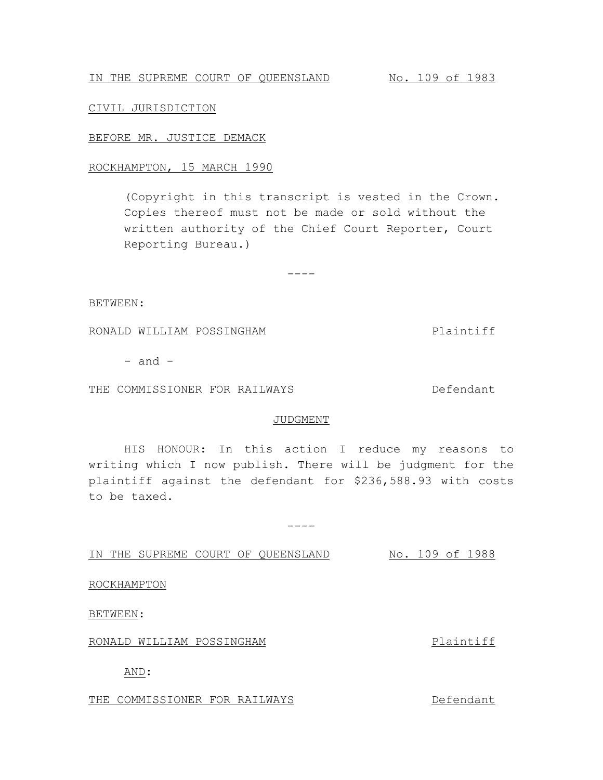IN THE SUPREME COURT OF QUEENSLAND No. 109 of 1983

CIVIL JURISDICTION

## BEFORE MR. JUSTICE DEMACK

## ROCKHAMPTON, 15 MARCH 1990

(Copyright in this transcript is vested in the Crown. Copies thereof must not be made or sold without the written authority of the Chief Court Reporter, Court Reporting Bureau.)

 $---$ 

BETWEEN:

RONALD WILLIAM POSSINGHAM **PLAINTIFF** 

 $-$  and  $-$ 

THE COMMISSIONER FOR RAILWAYS **Example 20 For Section** Defendant

#### JUDGMENT

HIS HONOUR: In this action I reduce my reasons to writing which I now publish. There will be judgment for the plaintiff against the defendant for \$236,588.93 with costs to be taxed.

 $---$ 

IN THE SUPREME COURT OF QUEENSLAND No. 109 of 1988

ROCKHAMPTON

BETWEEN:

## RONALD WILLIAM POSSINGHAM **PLAINTIFF**

AND:

THE COMMISSIONER FOR RAILWAYS **Example 20 For Section** Defendant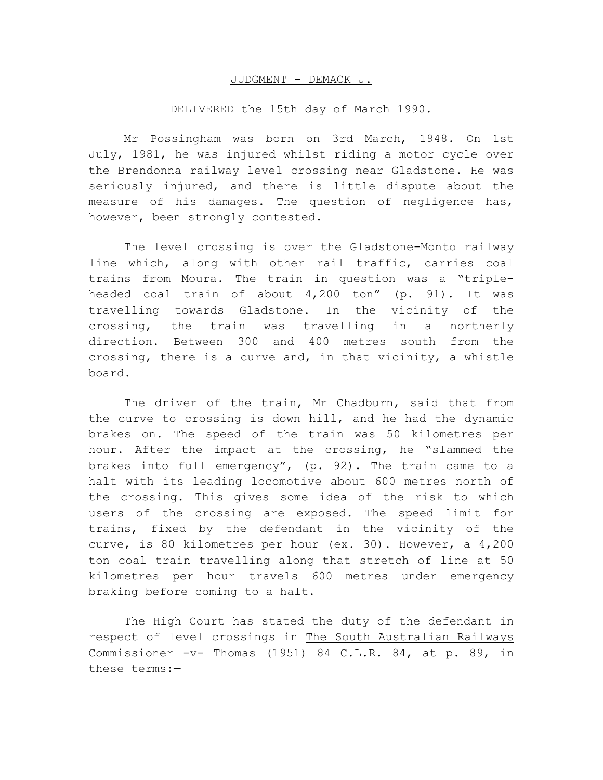#### JUDGMENT - DEMACK J.

# DELIVERED the 15th day of March 1990.

Mr Possingham was born on 3rd March, 1948. On 1st July, 1981, he was injured whilst riding a motor cycle over the Brendonna railway level crossing near Gladstone. He was seriously injured, and there is little dispute about the measure of his damages. The question of negligence has, however, been strongly contested.

The level crossing is over the Gladstone-Monto railway line which, along with other rail traffic, carries coal trains from Moura. The train in question was a "tripleheaded coal train of about 4,200 ton" (p. 91). It was travelling towards Gladstone. In the vicinity of the crossing, the train was travelling in a northerly direction. Between 300 and 400 metres south from the crossing, there is a curve and, in that vicinity, a whistle board.

The driver of the train, Mr Chadburn, said that from the curve to crossing is down hill, and he had the dynamic brakes on. The speed of the train was 50 kilometres per hour. After the impact at the crossing, he "slammed the brakes into full emergency", (p. 92). The train came to a halt with its leading locomotive about 600 metres north of the crossing. This gives some idea of the risk to which users of the crossing are exposed. The speed limit for trains, fixed by the defendant in the vicinity of the curve, is 80 kilometres per hour (ex. 30). However, a 4,200 ton coal train travelling along that stretch of line at 50 kilometres per hour travels 600 metres under emergency braking before coming to a halt.

The High Court has stated the duty of the defendant in respect of level crossings in The South Australian Railways Commissioner -v- Thomas (1951) 84 C.L.R. 84, at p. 89, in these terms:—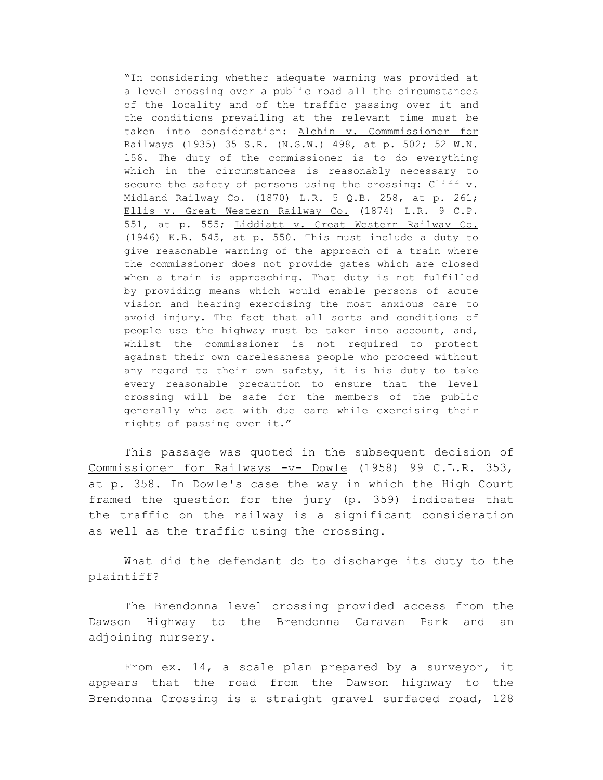"In considering whether adequate warning was provided at a level crossing over a public road all the circumstances of the locality and of the traffic passing over it and the conditions prevailing at the relevant time must be taken into consideration: Alchin v. Commmissioner for Railways (1935) 35 S.R. (N.S.W.) 498, at p. 502; 52 W.N. 156. The duty of the commissioner is to do everything which in the circumstances is reasonably necessary to secure the safety of persons using the crossing: Cliff v. Midland Railway Co. (1870) L.R. 5 Q.B. 258, at p. 261; Ellis v. Great Western Railway Co. (1874) L.R. 9 C.P. 551, at p. 555; Liddiatt v. Great Western Railway Co. (1946) K.B. 545, at p. 550. This must include a duty to give reasonable warning of the approach of a train where the commissioner does not provide gates which are closed when a train is approaching. That duty is not fulfilled by providing means which would enable persons of acute vision and hearing exercising the most anxious care to avoid injury. The fact that all sorts and conditions of people use the highway must be taken into account, and, whilst the commissioner is not required to protect against their own carelessness people who proceed without any regard to their own safety, it is his duty to take every reasonable precaution to ensure that the level crossing will be safe for the members of the public generally who act with due care while exercising their rights of passing over it."

This passage was quoted in the subsequent decision of Commissioner for Railways -v- Dowle (1958) 99 C.L.R. 353, at p. 358. In Dowle's case the way in which the High Court framed the question for the jury (p. 359) indicates that the traffic on the railway is a significant consideration as well as the traffic using the crossing.

What did the defendant do to discharge its duty to the plaintiff?

The Brendonna level crossing provided access from the Dawson Highway to the Brendonna Caravan Park and an adjoining nursery.

From ex. 14, a scale plan prepared by a surveyor, it appears that the road from the Dawson highway to the Brendonna Crossing is a straight gravel surfaced road, 128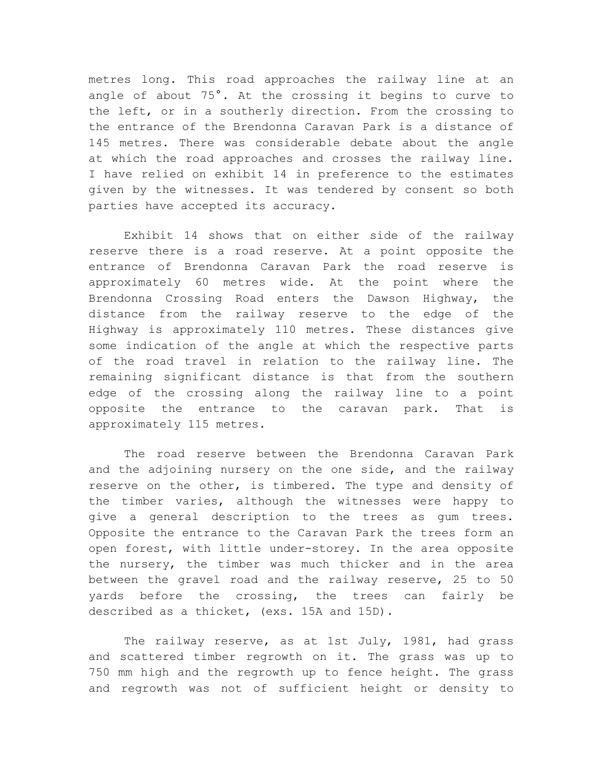metres long. This road approaches the railway line at an angle of about 75°. At the crossing it begins to curve to the left, or in a southerly direction. From the crossing to the entrance of the Brendonna Caravan Park is a distance of 145 metres. There was considerable debate about the angle at which the road approaches and crosses the railway line. I have relied on exhibit 14 in preference to the estimates given by the witnesses. It was tendered by consent so both parties have accepted its accuracy.

Exhibit 14 shows that on either side of the railway reserve there is a road reserve. At a point opposite the entrance of Brendonna Caravan Park the road reserve is approximately 60 metres wide. At the point where the Brendonna Crossing Road enters the Dawson Highway, the distance from the railway reserve to the edge of the Highway is approximately 110 metres. These distances give some indication of the angle at which the respective parts of the road travel in relation to the railway line. The remaining significant distance is that from the southern edge of the crossing along the railway line to a point opposite the entrance to the caravan park. That is approximately 115 metres.

The road reserve between the Brendonna Caravan Park and the adjoining nursery on the one side, and the railway reserve on the other, is timbered. The type and density of the timber varies, although the witnesses were happy to give a general description to the trees as gum trees. Opposite the entrance to the Caravan Park the trees form an open forest, with little under-storey. In the area opposite the nursery, the timber was much thicker and in the area between the gravel road and the railway reserve, 25 to 50 yards before the crossing, the trees can fairly be described as a thicket, (exs. 15A and 15D).

The railway reserve, as at 1st July, 1981, had grass and scattered timber regrowth on it. The grass was up to 750 mm high and the regrowth up to fence height. The grass and regrowth was not of sufficient height or density to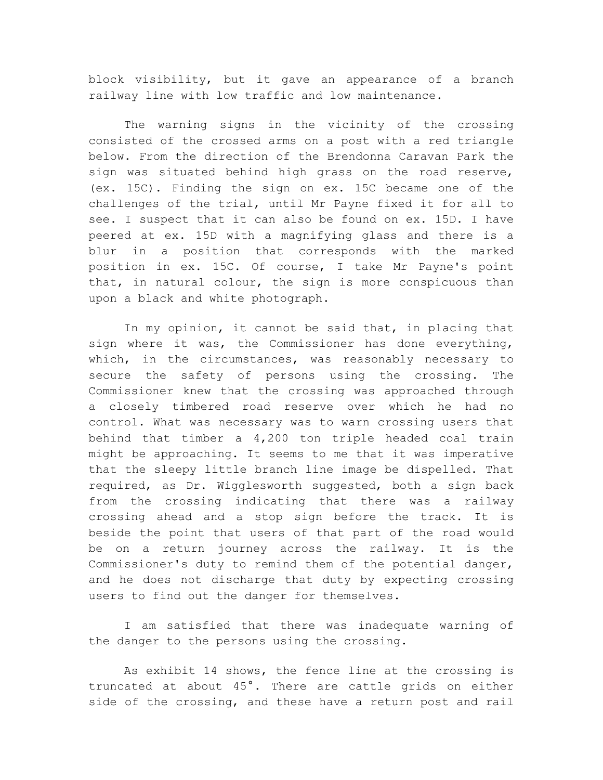block visibility, but it gave an appearance of a branch railway line with low traffic and low maintenance.

The warning signs in the vicinity of the crossing consisted of the crossed arms on a post with a red triangle below. From the direction of the Brendonna Caravan Park the sign was situated behind high grass on the road reserve, (ex. 15C). Finding the sign on ex. 15C became one of the challenges of the trial, until Mr Payne fixed it for all to see. I suspect that it can also be found on ex. 15D. I have peered at ex. 15D with a magnifying glass and there is a blur in a position that corresponds with the marked position in ex. 15C. Of course, I take Mr Payne's point that, in natural colour, the sign is more conspicuous than upon a black and white photograph.

In my opinion, it cannot be said that, in placing that sign where it was, the Commissioner has done everything, which, in the circumstances, was reasonably necessary to secure the safety of persons using the crossing. The Commissioner knew that the crossing was approached through a closely timbered road reserve over which he had no control. What was necessary was to warn crossing users that behind that timber a 4,200 ton triple headed coal train might be approaching. It seems to me that it was imperative that the sleepy little branch line image be dispelled. That required, as Dr. Wigglesworth suggested, both a sign back from the crossing indicating that there was a railway crossing ahead and a stop sign before the track. It is beside the point that users of that part of the road would be on a return journey across the railway. It is the Commissioner's duty to remind them of the potential danger, and he does not discharge that duty by expecting crossing users to find out the danger for themselves.

I am satisfied that there was inadequate warning of the danger to the persons using the crossing.

As exhibit 14 shows, the fence line at the crossing is truncated at about 45°. There are cattle grids on either side of the crossing, and these have a return post and rail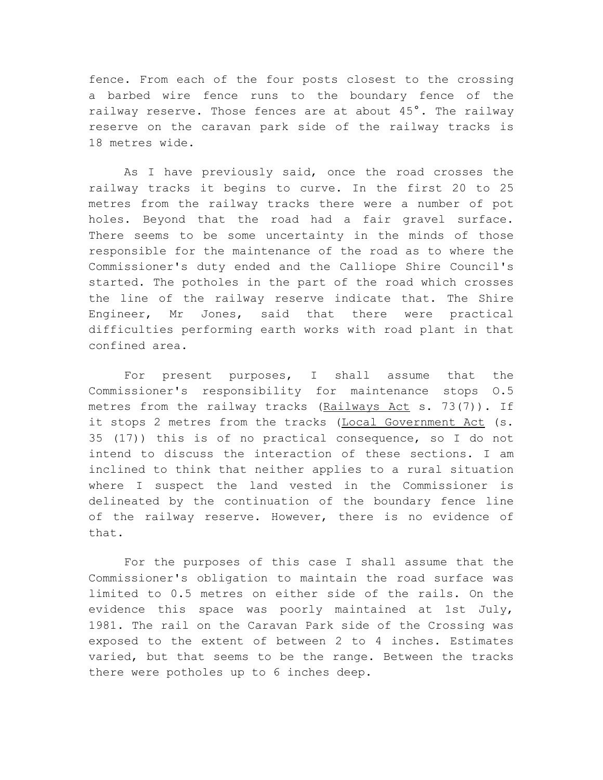fence. From each of the four posts closest to the crossing a barbed wire fence runs to the boundary fence of the railway reserve. Those fences are at about 45°. The railway reserve on the caravan park side of the railway tracks is 18 metres wide.

As I have previously said, once the road crosses the railway tracks it begins to curve. In the first 20 to 25 metres from the railway tracks there were a number of pot holes. Beyond that the road had a fair gravel surface. There seems to be some uncertainty in the minds of those responsible for the maintenance of the road as to where the Commissioner's duty ended and the Calliope Shire Council's started. The potholes in the part of the road which crosses the line of the railway reserve indicate that. The Shire Engineer, Mr Jones, said that there were practical difficulties performing earth works with road plant in that confined area.

For present purposes, I shall assume that the Commissioner's responsibility for maintenance stops O.5 metres from the railway tracks (Railways Act s. 73(7)). If it stops 2 metres from the tracks (Local Government Act (s. 35 (17)) this is of no practical consequence, so I do not intend to discuss the interaction of these sections. I am inclined to think that neither applies to a rural situation where I suspect the land vested in the Commissioner is delineated by the continuation of the boundary fence line of the railway reserve. However, there is no evidence of that.

For the purposes of this case I shall assume that the Commissioner's obligation to maintain the road surface was limited to 0.5 metres on either side of the rails. On the evidence this space was poorly maintained at 1st July, 1981. The rail on the Caravan Park side of the Crossing was exposed to the extent of between 2 to 4 inches. Estimates varied, but that seems to be the range. Between the tracks there were potholes up to 6 inches deep.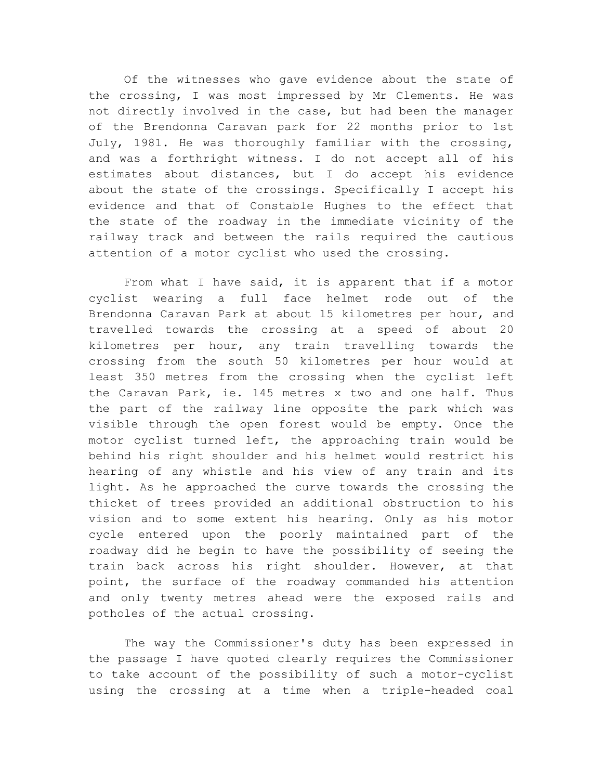Of the witnesses who gave evidence about the state of the crossing, I was most impressed by Mr Clements. He was not directly involved in the case, but had been the manager of the Brendonna Caravan park for 22 months prior to 1st July, 1981. He was thoroughly familiar with the crossing, and was a forthright witness. I do not accept all of his estimates about distances, but I do accept his evidence about the state of the crossings. Specifically I accept his evidence and that of Constable Hughes to the effect that the state of the roadway in the immediate vicinity of the railway track and between the rails required the cautious attention of a motor cyclist who used the crossing.

From what I have said, it is apparent that if a motor cyclist wearing a full face helmet rode out of the Brendonna Caravan Park at about 15 kilometres per hour, and travelled towards the crossing at a speed of about 20 kilometres per hour, any train travelling towards the crossing from the south 50 kilometres per hour would at least 350 metres from the crossing when the cyclist left the Caravan Park, ie. 145 metres x two and one half. Thus the part of the railway line opposite the park which was visible through the open forest would be empty. Once the motor cyclist turned left, the approaching train would be behind his right shoulder and his helmet would restrict his hearing of any whistle and his view of any train and its light. As he approached the curve towards the crossing the thicket of trees provided an additional obstruction to his vision and to some extent his hearing. Only as his motor cycle entered upon the poorly maintained part of the roadway did he begin to have the possibility of seeing the train back across his right shoulder. However, at that point, the surface of the roadway commanded his attention and only twenty metres ahead were the exposed rails and potholes of the actual crossing.

The way the Commissioner's duty has been expressed in the passage I have quoted clearly requires the Commissioner to take account of the possibility of such a motor-cyclist using the crossing at a time when a triple-headed coal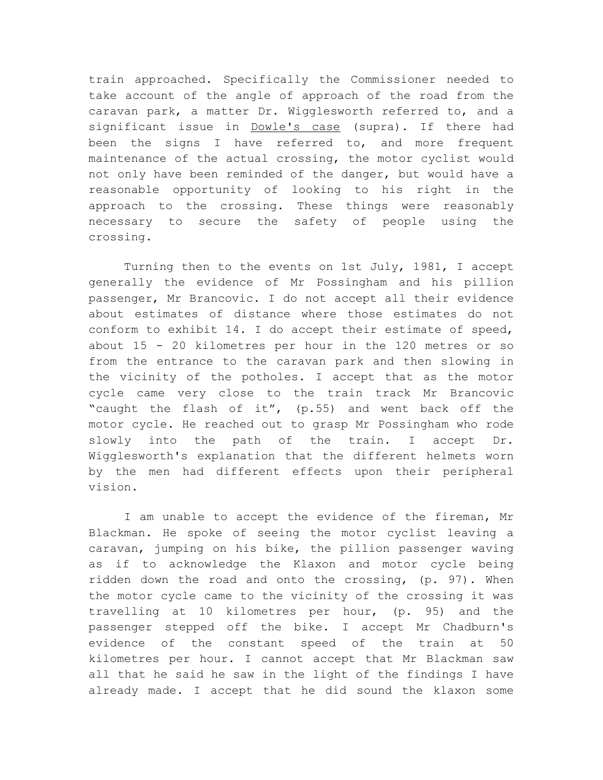train approached. Specifically the Commissioner needed to take account of the angle of approach of the road from the caravan park, a matter Dr. Wigglesworth referred to, and a significant issue in Dowle's case (supra). If there had been the signs I have referred to, and more frequent maintenance of the actual crossing, the motor cyclist would not only have been reminded of the danger, but would have a reasonable opportunity of looking to his right in the approach to the crossing. These things were reasonably necessary to secure the safety of people using the crossing.

Turning then to the events on 1st July, 1981, I accept generally the evidence of Mr Possingham and his pillion passenger, Mr Brancovic. I do not accept all their evidence about estimates of distance where those estimates do not conform to exhibit 14. I do accept their estimate of speed, about 15 - 20 kilometres per hour in the 120 metres or so from the entrance to the caravan park and then slowing in the vicinity of the potholes. I accept that as the motor cycle came very close to the train track Mr Brancovic "caught the flash of it", (p.55) and went back off the motor cycle. He reached out to grasp Mr Possingham who rode slowly into the path of the train. I accept Dr. Wigglesworth's explanation that the different helmets worn by the men had different effects upon their peripheral vision.

I am unable to accept the evidence of the fireman, Mr Blackman. He spoke of seeing the motor cyclist leaving a caravan, jumping on his bike, the pillion passenger waving as if to acknowledge the Klaxon and motor cycle being ridden down the road and onto the crossing, (p. 97). When the motor cycle came to the vicinity of the crossing it was travelling at 10 kilometres per hour, (p. 95) and the passenger stepped off the bike. I accept Mr Chadburn's evidence of the constant speed of the train at 50 kilometres per hour. I cannot accept that Mr Blackman saw all that he said he saw in the light of the findings I have already made. I accept that he did sound the klaxon some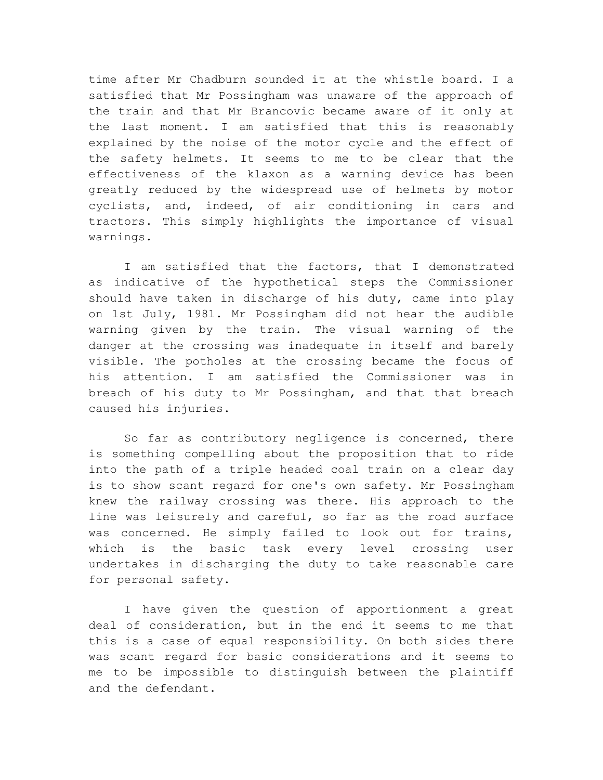time after Mr Chadburn sounded it at the whistle board. I a satisfied that Mr Possingham was unaware of the approach of the train and that Mr Brancovic became aware of it only at the last moment. I am satisfied that this is reasonably explained by the noise of the motor cycle and the effect of the safety helmets. It seems to me to be clear that the effectiveness of the klaxon as a warning device has been greatly reduced by the widespread use of helmets by motor cyclists, and, indeed, of air conditioning in cars and tractors. This simply highlights the importance of visual warnings.

I am satisfied that the factors, that I demonstrated as indicative of the hypothetical steps the Commissioner should have taken in discharge of his duty, came into play on 1st July, 1981. Mr Possingham did not hear the audible warning given by the train. The visual warning of the danger at the crossing was inadequate in itself and barely visible. The potholes at the crossing became the focus of his attention. I am satisfied the Commissioner was in breach of his duty to Mr Possingham, and that that breach caused his injuries.

So far as contributory negligence is concerned, there is something compelling about the proposition that to ride into the path of a triple headed coal train on a clear day is to show scant regard for one's own safety. Mr Possingham knew the railway crossing was there. His approach to the line was leisurely and careful, so far as the road surface was concerned. He simply failed to look out for trains, which is the basic task every level crossing user undertakes in discharging the duty to take reasonable care for personal safety.

I have given the question of apportionment a great deal of consideration, but in the end it seems to me that this is a case of equal responsibility. On both sides there was scant regard for basic considerations and it seems to me to be impossible to distinguish between the plaintiff and the defendant.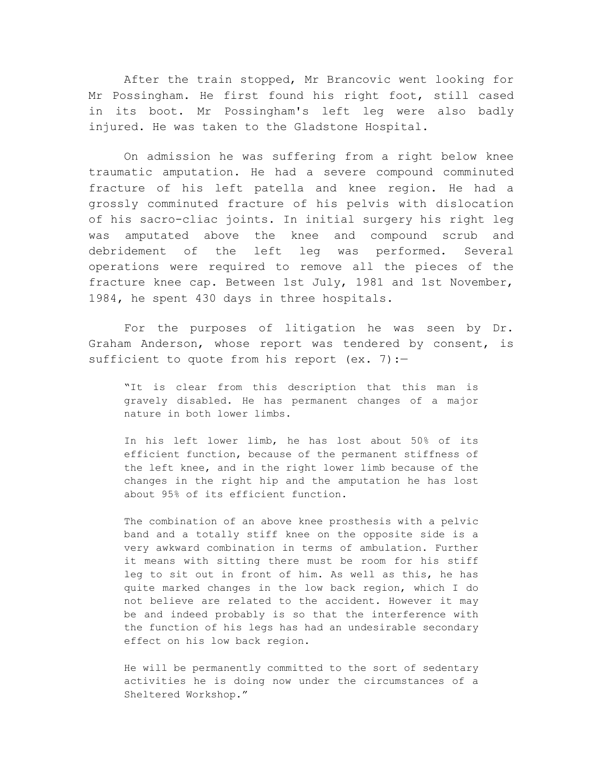After the train stopped, Mr Brancovic went looking for Mr Possingham. He first found his right foot, still cased in its boot. Mr Possingham's left leg were also badly injured. He was taken to the Gladstone Hospital.

On admission he was suffering from a right below knee traumatic amputation. He had a severe compound comminuted fracture of his left patella and knee region. He had a grossly comminuted fracture of his pelvis with dislocation of his sacro-cliac joints. In initial surgery his right leg was amputated above the knee and compound scrub and debridement of the left leg was performed. Several operations were required to remove all the pieces of the fracture knee cap. Between 1st July, 1981 and 1st November, 1984, he spent 430 days in three hospitals.

For the purposes of litigation he was seen by Dr. Graham Anderson, whose report was tendered by consent, is sufficient to quote from his report (ex.  $7$ ):-

"It is clear from this description that this man is gravely disabled. He has permanent changes of a major nature in both lower limbs.

In his left lower limb, he has lost about 50% of its efficient function, because of the permanent stiffness of the left knee, and in the right lower limb because of the changes in the right hip and the amputation he has lost about 95% of its efficient function.

The combination of an above knee prosthesis with a pelvic band and a totally stiff knee on the opposite side is a very awkward combination in terms of ambulation. Further it means with sitting there must be room for his stiff leg to sit out in front of him. As well as this, he has quite marked changes in the low back region, which I do not believe are related to the accident. However it may be and indeed probably is so that the interference with the function of his legs has had an undesirable secondary effect on his low back region.

He will be permanently committed to the sort of sedentary activities he is doing now under the circumstances of a Sheltered Workshop."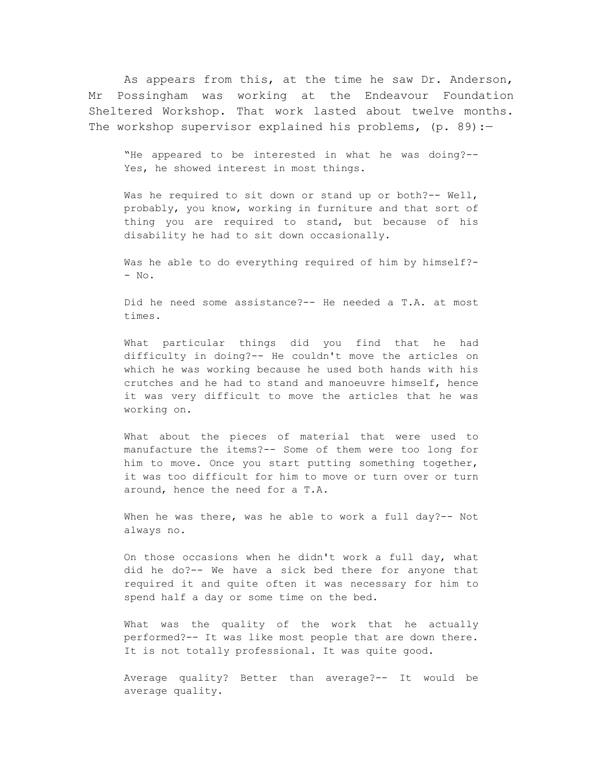As appears from this, at the time he saw Dr. Anderson, Mr Possingham was working at the Endeavour Foundation Sheltered Workshop. That work lasted about twelve months. The workshop supervisor explained his problems,  $(p. 89)$ :

"He appeared to be interested in what he was doing?-- Yes, he showed interest in most things.

Was he required to sit down or stand up or both?-- Well, probably, you know, working in furniture and that sort of thing you are required to stand, but because of his disability he had to sit down occasionally.

Was he able to do everything required of him by himself?-- No.

Did he need some assistance?-- He needed a T.A. at most times.

What particular things did you find that he had difficulty in doing?-- He couldn't move the articles on which he was working because he used both hands with his crutches and he had to stand and manoeuvre himself, hence it was very difficult to move the articles that he was working on.

What about the pieces of material that were used to manufacture the items?-- Some of them were too long for him to move. Once you start putting something together, it was too difficult for him to move or turn over or turn around, hence the need for a T.A.

When he was there, was he able to work a full day?-- Not always no.

On those occasions when he didn't work a full day, what did he do?-- We have a sick bed there for anyone that required it and quite often it was necessary for him to spend half a day or some time on the bed.

What was the quality of the work that he actually performed?-- It was like most people that are down there. It is not totally professional. It was quite good.

Average quality? Better than average?-- It would be average quality.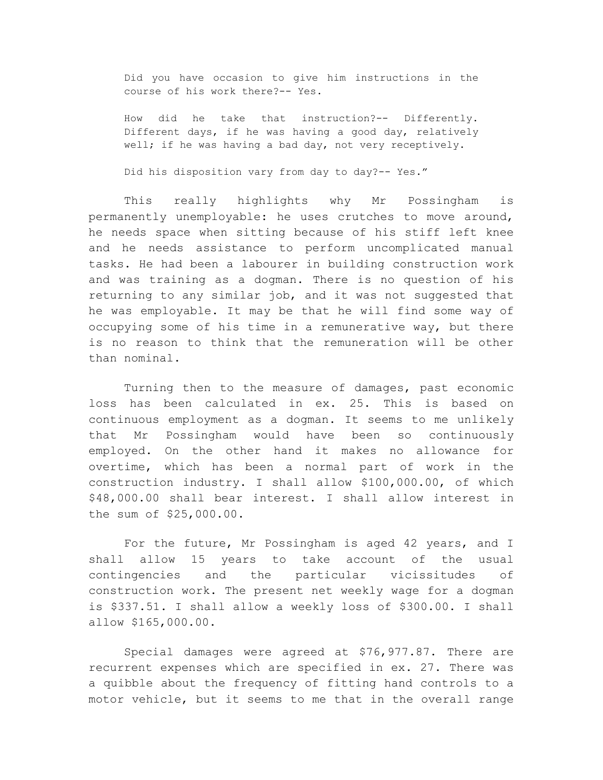Did you have occasion to give him instructions in the course of his work there?-- Yes.

How did he take that instruction?-- Differently. Different days, if he was having a good day, relatively well; if he was having a bad day, not very receptively.

Did his disposition vary from day to day?-- Yes."

This really highlights why Mr Possingham is permanently unemployable: he uses crutches to move around, he needs space when sitting because of his stiff left knee and he needs assistance to perform uncomplicated manual tasks. He had been a labourer in building construction work and was training as a dogman. There is no question of his returning to any similar job, and it was not suggested that he was employable. It may be that he will find some way of occupying some of his time in a remunerative way, but there is no reason to think that the remuneration will be other than nominal.

Turning then to the measure of damages, past economic loss has been calculated in ex. 25. This is based on continuous employment as a dogman. It seems to me unlikely that Mr Possingham would have been so continuously employed. On the other hand it makes no allowance for overtime, which has been a normal part of work in the construction industry. I shall allow \$100,000.00, of which \$48,000.00 shall bear interest. I shall allow interest in the sum of \$25,000.00.

For the future, Mr Possingham is aged 42 years, and I shall allow 15 years to take account of the usual contingencies and the particular vicissitudes of construction work. The present net weekly wage for a dogman is \$337.51. I shall allow a weekly loss of \$300.00. I shall allow \$165,000.00.

Special damages were agreed at \$76,977.87. There are recurrent expenses which are specified in ex. 27. There was a quibble about the frequency of fitting hand controls to a motor vehicle, but it seems to me that in the overall range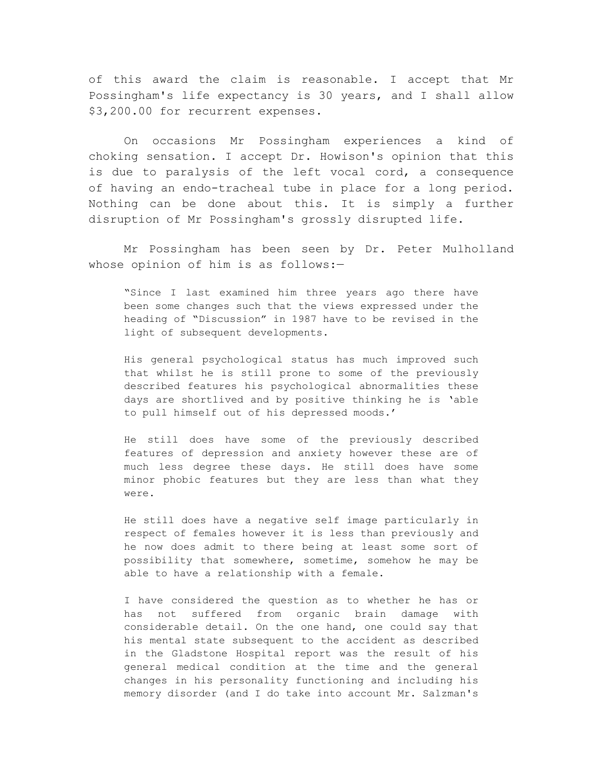of this award the claim is reasonable. I accept that Mr Possingham's life expectancy is 30 years, and I shall allow \$3,200.00 for recurrent expenses.

On occasions Mr Possingham experiences a kind of choking sensation. I accept Dr. Howison's opinion that this is due to paralysis of the left vocal cord, a consequence of having an endo-tracheal tube in place for a long period. Nothing can be done about this. It is simply a further disruption of Mr Possingham's grossly disrupted life.

Mr Possingham has been seen by Dr. Peter Mulholland whose opinion of him is as follows:-

"Since I last examined him three years ago there have been some changes such that the views expressed under the heading of "Discussion" in 1987 have to be revised in the light of subsequent developments.

His general psychological status has much improved such that whilst he is still prone to some of the previously described features his psychological abnormalities these days are shortlived and by positive thinking he is 'able to pull himself out of his depressed moods.'

He still does have some of the previously described features of depression and anxiety however these are of much less degree these days. He still does have some minor phobic features but they are less than what they were.

He still does have a negative self image particularly in respect of females however it is less than previously and he now does admit to there being at least some sort of possibility that somewhere, sometime, somehow he may be able to have a relationship with a female.

I have considered the question as to whether he has or has not suffered from organic brain damage with considerable detail. On the one hand, one could say that his mental state subsequent to the accident as described in the Gladstone Hospital report was the result of his general medical condition at the time and the general changes in his personality functioning and including his memory disorder (and I do take into account Mr. Salzman's